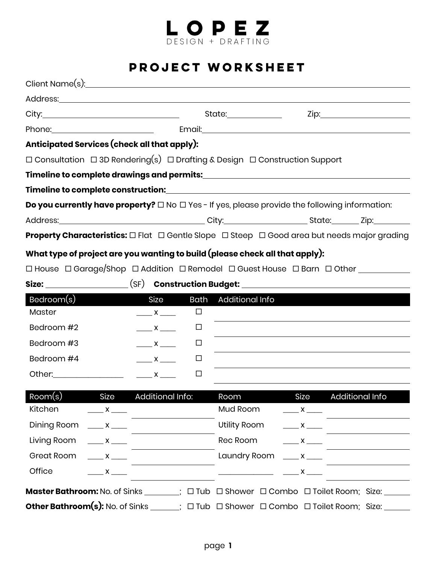

## **PROJECT WORKSHEET**

|                                                                              |                                  | State:_______________       |                                                                                                                 |  |
|------------------------------------------------------------------------------|----------------------------------|-----------------------------|-----------------------------------------------------------------------------------------------------------------|--|
|                                                                              |                                  |                             |                                                                                                                 |  |
| Anticipated Services (check all that apply):                                 |                                  |                             |                                                                                                                 |  |
|                                                                              |                                  |                             | $\Box$ Consultation $\Box$ 3D Rendering(s) $\Box$ Drafting & Design $\Box$ Construction Support                 |  |
|                                                                              |                                  |                             |                                                                                                                 |  |
|                                                                              |                                  |                             |                                                                                                                 |  |
|                                                                              |                                  |                             | <b>Do you currently have property?</b> $\Box$ No $\Box$ Yes - If yes, please provide the following information: |  |
|                                                                              |                                  |                             |                                                                                                                 |  |
|                                                                              |                                  |                             | <b>Property Characteristics:</b> □ Flat □ Gentle Slope □ Steep □ Good area but needs major grading              |  |
| What type of project are you wanting to build (please check all that apply): |                                  |                             |                                                                                                                 |  |
|                                                                              |                                  |                             | □ House □ Garage/Shop □ Addition □ Remodel □ Guest House □ Barn □ Other ________                                |  |
|                                                                              |                                  |                             |                                                                                                                 |  |
| Bedroom(s)                                                                   | Size                             | <b>Bath</b> Additional Info |                                                                                                                 |  |
| Master                                                                       | $\frac{1}{\sqrt{1-\frac{1}{2}}}$ | $\Box$                      |                                                                                                                 |  |
| Bedroom #2                                                                   | $\frac{1}{\sqrt{1-\frac{1}{2}}}$ | □                           |                                                                                                                 |  |
| Bedroom #3                                                                   | $\frac{1}{\sqrt{1-\frac{1}{2}}}$ | □                           |                                                                                                                 |  |
| Bedroom #4                                                                   | $\frac{1}{\sqrt{1-\frac{1}{2}}}$ | $\Box$                      |                                                                                                                 |  |
|                                                                              | $\mathsf{X}$                     | □                           |                                                                                                                 |  |
|                                                                              |                                  |                             |                                                                                                                 |  |

| Room(s)                                           |                                 | Size Additional Info: | Room                 | Size                             | Additional Info                                                                                                       |
|---------------------------------------------------|---------------------------------|-----------------------|----------------------|----------------------------------|-----------------------------------------------------------------------------------------------------------------------|
| Kitchen                                           | $\frac{\ }{1}$ x $\frac{\ }{1}$ |                       | Mud Room             | $\frac{\ }{1}$ x $\frac{\ }{1}$  |                                                                                                                       |
| Dining Room $\underline{\qquad x \qquad \qquad }$ |                                 |                       | Utility Room         | $\frac{1}{\sqrt{1-\frac{1}{2}}}$ |                                                                                                                       |
| Living Room $\underline{\qquad x \qquad \qquad }$ |                                 |                       | Rec Room             | $\frac{1}{\sqrt{1-\frac{1}{2}}}$ |                                                                                                                       |
| Great Room $\_\_\_x\_\_\_\_x$                     |                                 |                       | Laundry Room $x = x$ |                                  |                                                                                                                       |
| Office                                            | $X \sim$                        |                       |                      |                                  |                                                                                                                       |
|                                                   |                                 |                       |                      |                                  | <b>Master Bathroom:</b> No. of Sinks ________; $\Box$ Tub $\Box$ Shower $\Box$ Combo $\Box$ Toilet Room; Size: ______ |
|                                                   |                                 |                       |                      |                                  | <b>Other Bathroom(s):</b> No. of Sinks _____; □ Tub □ Shower □ Combo □ Toilet Room; Size: _____                       |